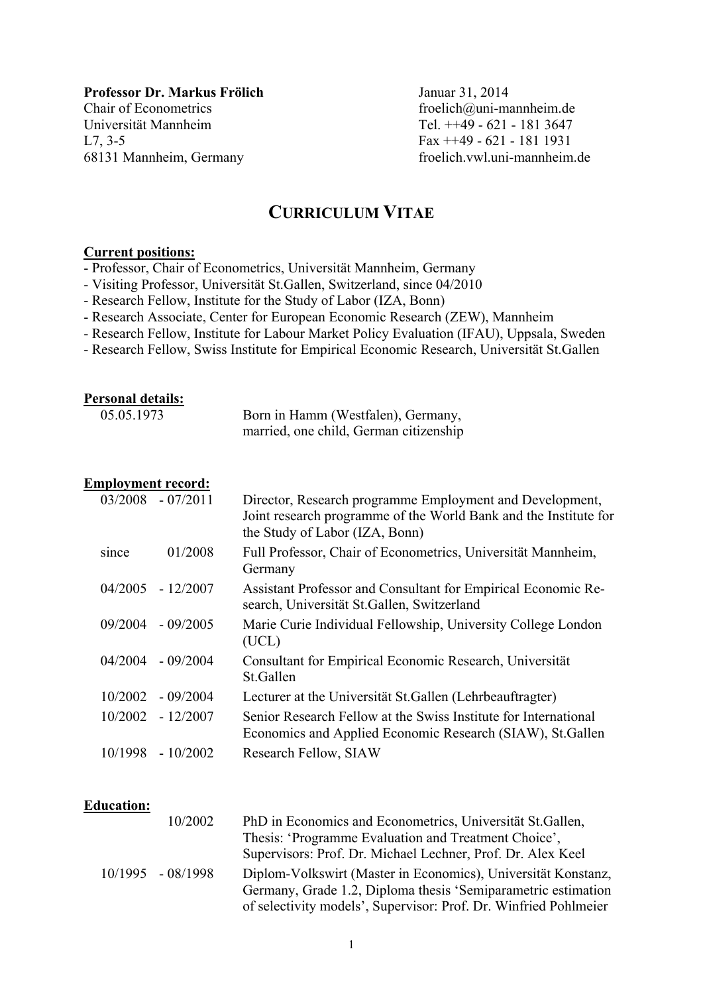**Professor Dr. Markus Frölich** Januar 31, 2014 Chair of Econometrics froelich@uni-mannheim.de Universität Mannheim Tel. ++49 - 621 - 181 3647 L7, 3-5  $\text{Fax} +49 - 621 - 1811931$ 68131 Mannheim, Germany froelich.vwl.uni-mannheim.de

## **CURRICULUM VITAE**

#### **Current positions:**

- Professor, Chair of Econometrics, Universität Mannheim, Germany

- Visiting Professor, Universität St.Gallen, Switzerland, since 04/2010

- Research Fellow, Institute for the Study of Labor (IZA, Bonn)
- Research Associate, Center for European Economic Research (ZEW), Mannheim
- Research Fellow, Institute for Labour Market Policy Evaluation (IFAU), Uppsala, Sweden
- Research Fellow, Swiss Institute for Empirical Economic Research, Universität St.Gallen

| <b>Personal details:</b><br>05.05.1973 |            | Born in Hamm (Westfalen), Germany,<br>married, one child, German citizenship                                                                                   |  |  |  |  |
|----------------------------------------|------------|----------------------------------------------------------------------------------------------------------------------------------------------------------------|--|--|--|--|
| <b>Employment record:</b>              |            |                                                                                                                                                                |  |  |  |  |
| $03/2008 - 07/2011$                    |            | Director, Research programme Employment and Development,<br>Joint research programme of the World Bank and the Institute for<br>the Study of Labor (IZA, Bonn) |  |  |  |  |
| since                                  | 01/2008    | Full Professor, Chair of Econometrics, Universität Mannheim,<br>Germany                                                                                        |  |  |  |  |
| $04/2005 - 12/2007$                    |            | Assistant Professor and Consultant for Empirical Economic Re-<br>search, Universität St. Gallen, Switzerland                                                   |  |  |  |  |
| $09/2004 - 09/2005$                    |            | Marie Curie Individual Fellowship, University College London<br>(UCL)                                                                                          |  |  |  |  |
| $04/2004 - 09/2004$                    |            | Consultant for Empirical Economic Research, Universität<br>St.Gallen                                                                                           |  |  |  |  |
| 10/2002                                | $-09/2004$ | Lecturer at the Universität St. Gallen (Lehrbeauftragter)                                                                                                      |  |  |  |  |
| $10/2002 - 12/2007$                    |            | Senior Research Fellow at the Swiss Institute for International<br>Economics and Applied Economic Research (SIAW), St. Gallen                                  |  |  |  |  |
| $10/1998 - 10/2002$                    |            | Research Fellow, SIAW                                                                                                                                          |  |  |  |  |

#### **Education:**

| 10/2002 | PhD in Economics and Econometrics, Universität St. Gallen,       |
|---------|------------------------------------------------------------------|
|         | Thesis: 'Programme Evaluation and Treatment Choice',             |
|         | Supervisors: Prof. Dr. Michael Lechner, Prof. Dr. Alex Keel      |
|         | Diplom-Volkswirt (Master in Economics), Universität Konstanz,    |
|         | Germany, Grade 1.2, Diploma thesis 'Semiparametric estimation    |
|         | of selectivity models', Supervisor: Prof. Dr. Winfried Pohlmeier |
|         | $10/1995 - 08/1998$                                              |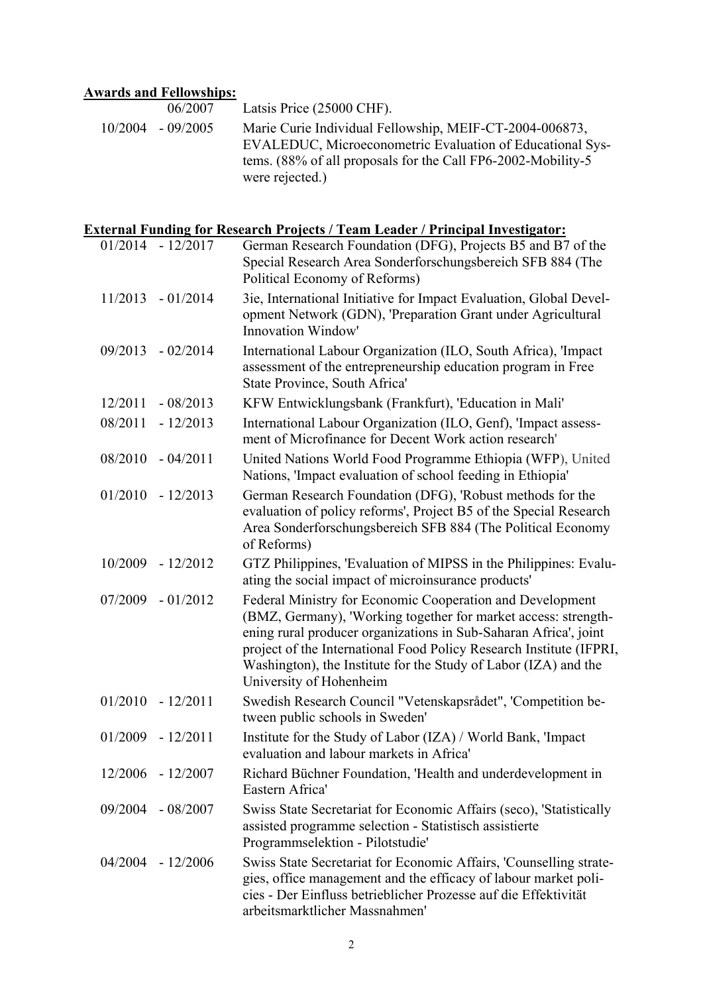# **Awards and Fellowships:**

| vards and Fellowships: |                                                                                                                                                                                                         |
|------------------------|---------------------------------------------------------------------------------------------------------------------------------------------------------------------------------------------------------|
| 06/2007                | Latsis Price (25000 CHF).                                                                                                                                                                               |
| $10/2004 - 09/2005$    | Marie Curie Individual Fellowship, MEIF-CT-2004-006873,<br>EVALEDUC, Microeconometric Evaluation of Educational Sys-<br>tems. (88% of all proposals for the Call FP6-2002-Mobility-5<br>were rejected.) |

**External Funding for Research Projects / Team Leader / Principal Investigator:**

|         | $01/2014 - 12/2017$ | German Research Foundation (DFG), Projects B5 and B7 of the<br>Special Research Area Sonderforschungsbereich SFB 884 (The<br>Political Economy of Reforms)                                                                                                                                                                                                           |
|---------|---------------------|----------------------------------------------------------------------------------------------------------------------------------------------------------------------------------------------------------------------------------------------------------------------------------------------------------------------------------------------------------------------|
| 11/2013 | $-01/2014$          | 3ie, International Initiative for Impact Evaluation, Global Devel-<br>opment Network (GDN), 'Preparation Grant under Agricultural<br>Innovation Window'                                                                                                                                                                                                              |
| 09/2013 | $-02/2014$          | International Labour Organization (ILO, South Africa), 'Impact<br>assessment of the entrepreneurship education program in Free<br>State Province, South Africa'                                                                                                                                                                                                      |
| 12/2011 | $-08/2013$          | KFW Entwicklungsbank (Frankfurt), 'Education in Mali'                                                                                                                                                                                                                                                                                                                |
| 08/2011 | $-12/2013$          | International Labour Organization (ILO, Genf), 'Impact assess-<br>ment of Microfinance for Decent Work action research'                                                                                                                                                                                                                                              |
| 08/2010 | $-04/2011$          | United Nations World Food Programme Ethiopia (WFP), United<br>Nations, 'Impact evaluation of school feeding in Ethiopia'                                                                                                                                                                                                                                             |
| 01/2010 | $-12/2013$          | German Research Foundation (DFG), 'Robust methods for the<br>evaluation of policy reforms', Project B5 of the Special Research<br>Area Sonderforschungsbereich SFB 884 (The Political Economy<br>of Reforms)                                                                                                                                                         |
| 10/2009 | $-12/2012$          | GTZ Philippines, 'Evaluation of MIPSS in the Philippines: Evalu-<br>ating the social impact of microinsurance products'                                                                                                                                                                                                                                              |
| 07/2009 | $-01/2012$          | Federal Ministry for Economic Cooperation and Development<br>(BMZ, Germany), 'Working together for market access: strength-<br>ening rural producer organizations in Sub-Saharan Africa', joint<br>project of the International Food Policy Research Institute (IFPRI,<br>Washington), the Institute for the Study of Labor (IZA) and the<br>University of Hohenheim |
|         | $01/2010 - 12/2011$ | Swedish Research Council "Vetenskapsrådet", 'Competition be-<br>tween public schools in Sweden'                                                                                                                                                                                                                                                                      |
| 01/2009 | $-12/2011$          | Institute for the Study of Labor (IZA) / World Bank, 'Impact<br>evaluation and labour markets in Africa'                                                                                                                                                                                                                                                             |
|         | 12/2006 - 12/2007   | Richard Büchner Foundation, 'Health and underdevelopment in<br>Eastern Africa'                                                                                                                                                                                                                                                                                       |
| 09/2004 | $-08/2007$          | Swiss State Secretariat for Economic Affairs (seco), 'Statistically<br>assisted programme selection - Statistisch assistierte<br>Programmselektion - Pilotstudie'                                                                                                                                                                                                    |
| 04/2004 | $-12/2006$          | Swiss State Secretariat for Economic Affairs, 'Counselling strate-<br>gies, office management and the efficacy of labour market poli-<br>cies - Der Einfluss betrieblicher Prozesse auf die Effektivität<br>arbeitsmarktlicher Massnahmen'                                                                                                                           |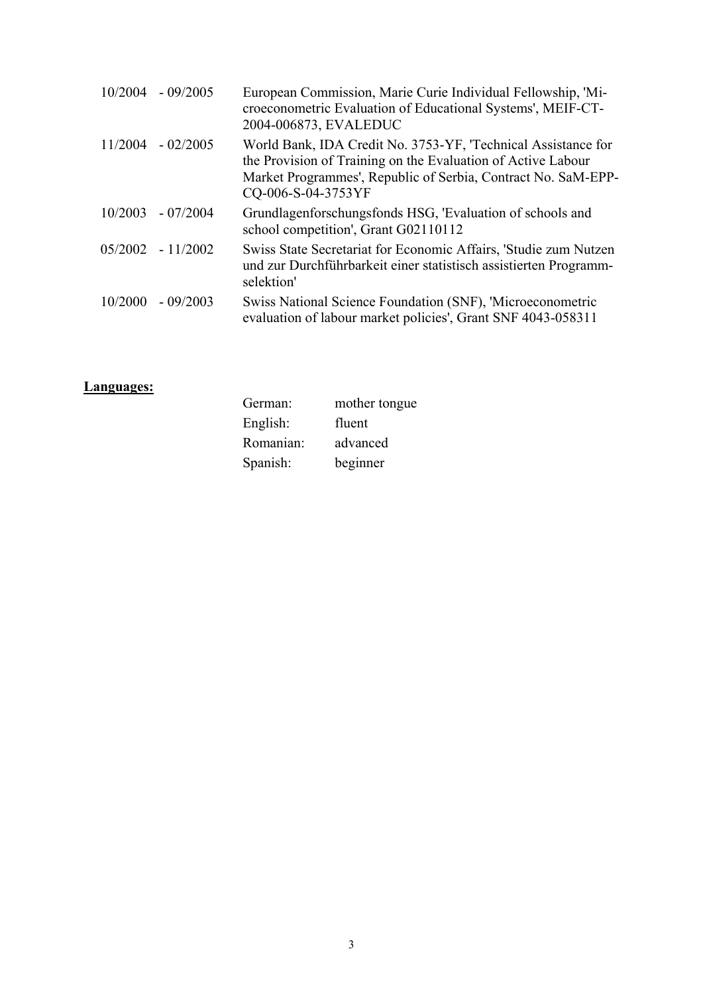| 10/2004 | $-09/2005$          | European Commission, Marie Curie Individual Fellowship, 'Mi-<br>croeconometric Evaluation of Educational Systems', MEIF-CT-<br>2004-006873, EVALEDUC                                                                 |
|---------|---------------------|----------------------------------------------------------------------------------------------------------------------------------------------------------------------------------------------------------------------|
| 11/2004 | $-02/2005$          | World Bank, IDA Credit No. 3753-YF, 'Technical Assistance for<br>the Provision of Training on the Evaluation of Active Labour<br>Market Programmes', Republic of Serbia, Contract No. SaM-EPP-<br>CQ-006-S-04-3753YF |
| 10/2003 | $-07/2004$          | Grundlagenforschungsfonds HSG, 'Evaluation of schools and<br>school competition', Grant G02110112                                                                                                                    |
|         | $05/2002 - 11/2002$ | Swiss State Secretariat for Economic Affairs, 'Studie zum Nutzen<br>und zur Durchführbarkeit einer statistisch assistierten Programm-<br>selektion'                                                                  |
| 10/2000 | $-09/2003$          | Swiss National Science Foundation (SNF), 'Microeconometric<br>evaluation of labour market policies', Grant SNF 4043-058311                                                                                           |

## **Languages:**

| German:   | mother tongue |
|-----------|---------------|
| English:  | fluent        |
| Romanian: | advanced      |
| Spanish:  | beginner      |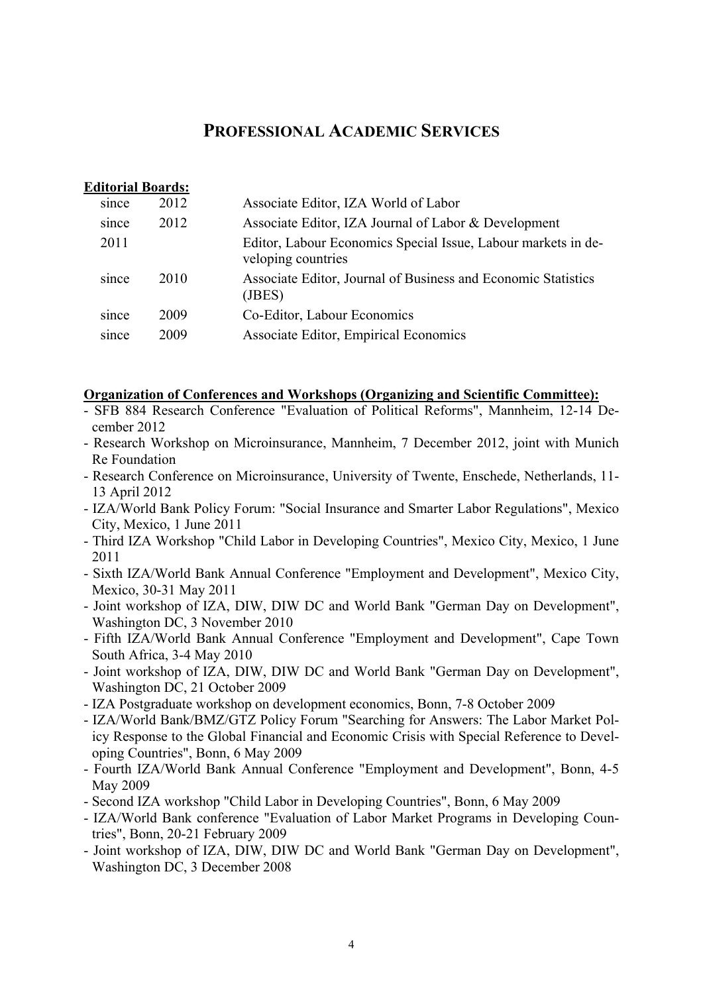### **PROFESSIONAL ACADEMIC SERVICES**

| <b>Editorial Boards:</b> |      |                                                                                     |
|--------------------------|------|-------------------------------------------------------------------------------------|
| since                    | 2012 | Associate Editor, IZA World of Labor                                                |
| since                    | 2012 | Associate Editor, IZA Journal of Labor & Development                                |
| 2011                     |      | Editor, Labour Economics Special Issue, Labour markets in de-<br>veloping countries |
| since                    | 2010 | Associate Editor, Journal of Business and Economic Statistics<br>(JBES)             |
| since                    | 2009 | Co-Editor, Labour Economics                                                         |
| since                    | 2009 | Associate Editor, Empirical Economics                                               |
|                          |      |                                                                                     |

#### **Organization of Conferences and Workshops (Organizing and Scientific Committee):**

- SFB 884 Research Conference "Evaluation of Political Reforms", Mannheim, 12-14 December 2012
- Research Workshop on Microinsurance, Mannheim, 7 December 2012, joint with Munich Re Foundation
- Research Conference on Microinsurance, University of Twente, Enschede, Netherlands, 11- 13 April 2012
- IZA/World Bank Policy Forum: "Social Insurance and Smarter Labor Regulations", Mexico City, Mexico, 1 June 2011
- Third IZA Workshop "Child Labor in Developing Countries", Mexico City, Mexico, 1 June 2011
- Sixth IZA/World Bank Annual Conference "Employment and Development", Mexico City, Mexico, 30-31 May 2011
- Joint workshop of IZA, DIW, DIW DC and World Bank "German Day on Development", Washington DC, 3 November 2010
- Fifth IZA/World Bank Annual Conference "Employment and Development", Cape Town South Africa, 3-4 May 2010
- Joint workshop of IZA, DIW, DIW DC and World Bank "German Day on Development", Washington DC, 21 October 2009
- IZA Postgraduate workshop on development economics, Bonn, 7-8 October 2009
- IZA/World Bank/BMZ/GTZ Policy Forum "Searching for Answers: The Labor Market Policy Response to the Global Financial and Economic Crisis with Special Reference to Developing Countries", Bonn, 6 May 2009
- Fourth IZA/World Bank Annual Conference "Employment and Development", Bonn, 4-5 May 2009
- Second IZA workshop "Child Labor in Developing Countries", Bonn, 6 May 2009
- IZA/World Bank conference "Evaluation of Labor Market Programs in Developing Countries", Bonn, 20-21 February 2009
- Joint workshop of IZA, DIW, DIW DC and World Bank "German Day on Development", Washington DC, 3 December 2008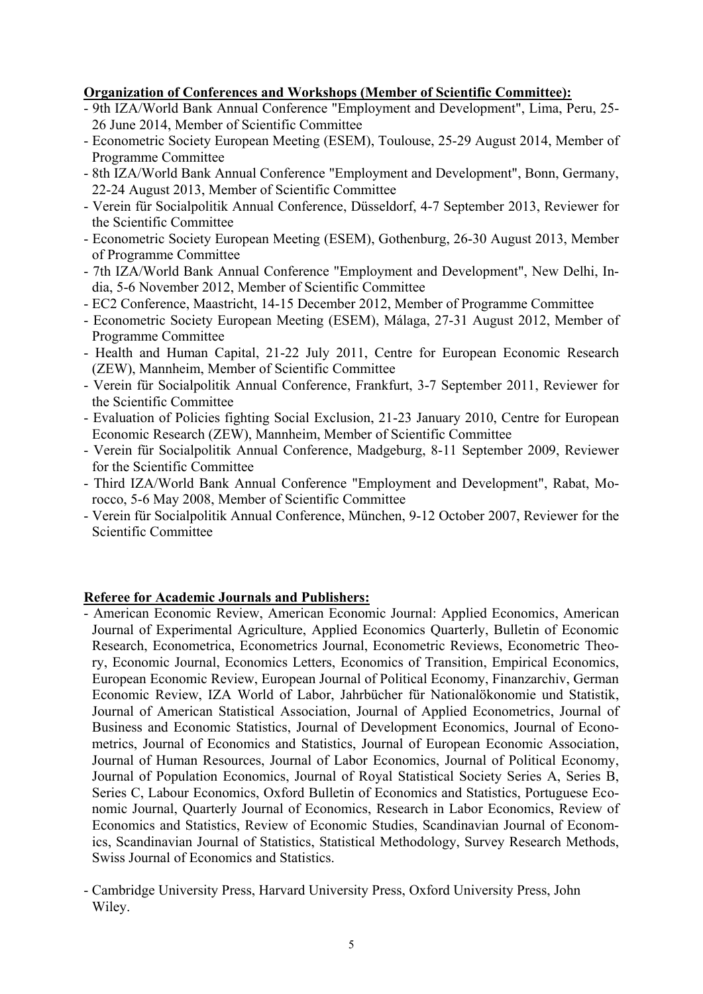#### **Organization of Conferences and Workshops (Member of Scientific Committee):**

- 9th IZA/World Bank Annual Conference "Employment and Development", Lima, Peru, 25- 26 June 2014, Member of Scientific Committee
- Econometric Society European Meeting (ESEM), Toulouse, 25-29 August 2014, Member of Programme Committee
- 8th IZA/World Bank Annual Conference "Employment and Development", Bonn, Germany, 22-24 August 2013, Member of Scientific Committee
- Verein für Socialpolitik Annual Conference, Düsseldorf, 4-7 September 2013, Reviewer for the Scientific Committee
- Econometric Society European Meeting (ESEM), Gothenburg, 26-30 August 2013, Member of Programme Committee
- 7th IZA/World Bank Annual Conference "Employment and Development", New Delhi, India, 5-6 November 2012, Member of Scientific Committee
- EC2 Conference, Maastricht, 14-15 December 2012, Member of Programme Committee
- Econometric Society European Meeting (ESEM), Málaga, 27-31 August 2012, Member of Programme Committee
- Health and Human Capital, 21-22 July 2011, Centre for European Economic Research (ZEW), Mannheim, Member of Scientific Committee
- Verein für Socialpolitik Annual Conference, Frankfurt, 3-7 September 2011, Reviewer for the Scientific Committee
- Evaluation of Policies fighting Social Exclusion, 21-23 January 2010, Centre for European Economic Research (ZEW), Mannheim, Member of Scientific Committee
- Verein für Socialpolitik Annual Conference, Madgeburg, 8-11 September 2009, Reviewer for the Scientific Committee
- Third IZA/World Bank Annual Conference "Employment and Development", Rabat, Morocco, 5-6 May 2008, Member of Scientific Committee
- Verein für Socialpolitik Annual Conference, München, 9-12 October 2007, Reviewer for the Scientific Committee

#### **Referee for Academic Journals and Publishers:**

- American Economic Review, American Economic Journal: Applied Economics, American Journal of Experimental Agriculture, Applied Economics Quarterly, Bulletin of Economic Research, Econometrica, Econometrics Journal, Econometric Reviews, Econometric Theory, Economic Journal, Economics Letters, Economics of Transition, Empirical Economics, European Economic Review, European Journal of Political Economy, Finanzarchiv, German Economic Review, IZA World of Labor, Jahrbücher für Nationalökonomie und Statistik, Journal of American Statistical Association, Journal of Applied Econometrics, Journal of Business and Economic Statistics, Journal of Development Economics, Journal of Econometrics, Journal of Economics and Statistics, Journal of European Economic Association, Journal of Human Resources, Journal of Labor Economics, Journal of Political Economy, Journal of Population Economics, Journal of Royal Statistical Society Series A, Series B, Series C, Labour Economics, Oxford Bulletin of Economics and Statistics, Portuguese Economic Journal, Quarterly Journal of Economics, Research in Labor Economics, Review of Economics and Statistics, Review of Economic Studies, Scandinavian Journal of Economics, Scandinavian Journal of Statistics, Statistical Methodology, Survey Research Methods, Swiss Journal of Economics and Statistics.
- Cambridge University Press, Harvard University Press, Oxford University Press, John Wiley.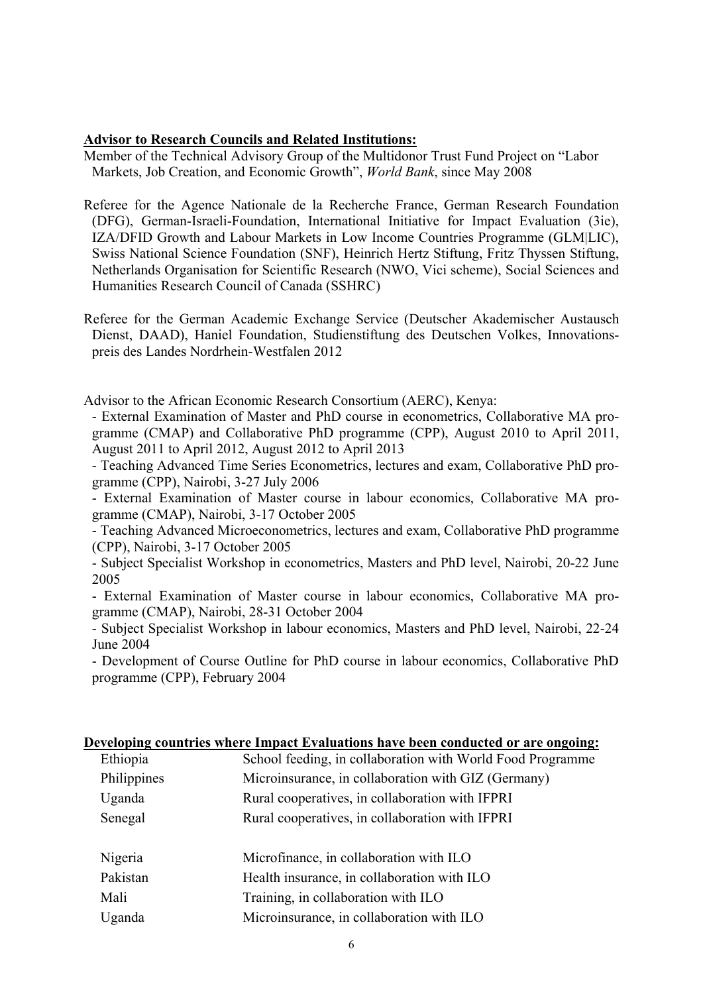#### **Advisor to Research Councils and Related Institutions:**

Member of the Technical Advisory Group of the Multidonor Trust Fund Project on "Labor Markets, Job Creation, and Economic Growth", *World Bank*, since May 2008

- Referee for the Agence Nationale de la Recherche France, German Research Foundation (DFG), German-Israeli-Foundation, International Initiative for Impact Evaluation (3ie), IZA/DFID Growth and Labour Markets in Low Income Countries Programme (GLM|LIC), Swiss National Science Foundation (SNF), Heinrich Hertz Stiftung, Fritz Thyssen Stiftung, Netherlands Organisation for Scientific Research (NWO, Vici scheme), Social Sciences and Humanities Research Council of Canada (SSHRC)
- Referee for the German Academic Exchange Service (Deutscher Akademischer Austausch Dienst, DAAD), Haniel Foundation, Studienstiftung des Deutschen Volkes, Innovationspreis des Landes Nordrhein-Westfalen 2012

Advisor to the African Economic Research Consortium (AERC), Kenya:

- External Examination of Master and PhD course in econometrics, Collaborative MA programme (CMAP) and Collaborative PhD programme (CPP), August 2010 to April 2011, August 2011 to April 2012, August 2012 to April 2013

- Teaching Advanced Time Series Econometrics, lectures and exam, Collaborative PhD programme (CPP), Nairobi, 3-27 July 2006

- External Examination of Master course in labour economics, Collaborative MA programme (CMAP), Nairobi, 3-17 October 2005

- Teaching Advanced Microeconometrics, lectures and exam, Collaborative PhD programme (CPP), Nairobi, 3-17 October 2005

- Subject Specialist Workshop in econometrics, Masters and PhD level, Nairobi, 20-22 June 2005

- External Examination of Master course in labour economics, Collaborative MA programme (CMAP), Nairobi, 28-31 October 2004

- Subject Specialist Workshop in labour economics, Masters and PhD level, Nairobi, 22-24 June 2004

- Development of Course Outline for PhD course in labour economics, Collaborative PhD programme (CPP), February 2004

|  |  |  |  | Developing countries where Impact Evaluations have been conducted or are ongoing: |
|--|--|--|--|-----------------------------------------------------------------------------------|
|  |  |  |  |                                                                                   |

| School feeding, in collaboration with World Food Programme |
|------------------------------------------------------------|
| Microinsurance, in collaboration with GIZ (Germany)        |
| Rural cooperatives, in collaboration with IFPRI            |
| Rural cooperatives, in collaboration with IFPRI            |
|                                                            |
|                                                            |
| Microfinance, in collaboration with ILO                    |
| Health insurance, in collaboration with ILO                |
| Training, in collaboration with ILO                        |
|                                                            |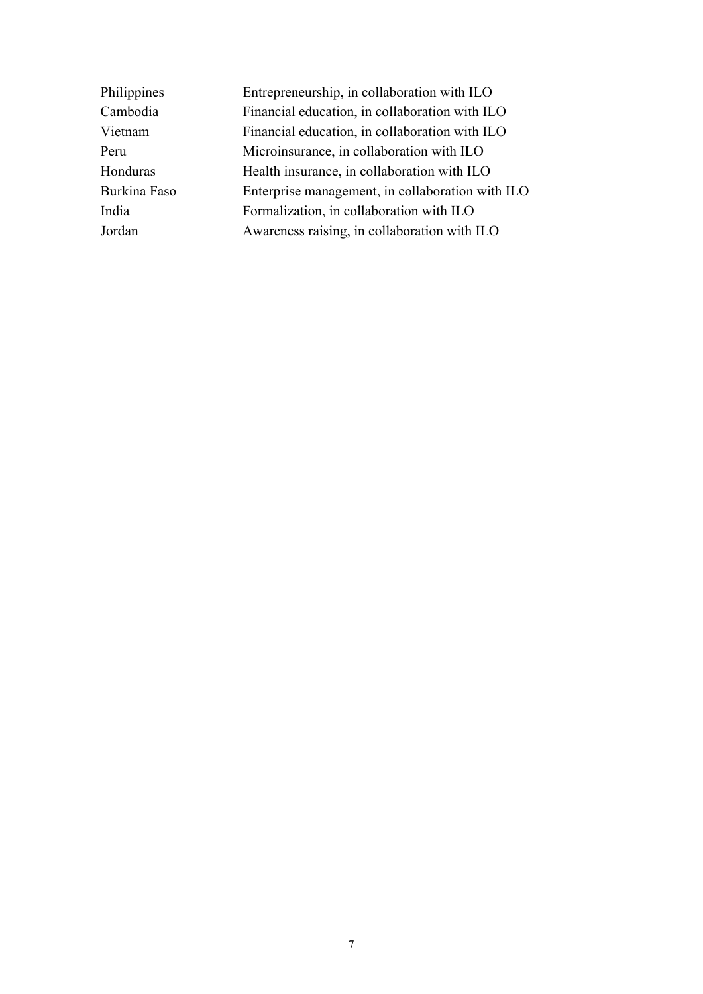| Philippines  | Entrepreneurship, in collaboration with ILO      |  |  |  |
|--------------|--------------------------------------------------|--|--|--|
| Cambodia     | Financial education, in collaboration with ILO   |  |  |  |
| Vietnam      | Financial education, in collaboration with ILO   |  |  |  |
| Peru         | Microinsurance, in collaboration with ILO        |  |  |  |
| Honduras     | Health insurance, in collaboration with ILO      |  |  |  |
| Burkina Faso | Enterprise management, in collaboration with ILO |  |  |  |
| India        | Formalization, in collaboration with ILO         |  |  |  |
| Jordan       | Awareness raising, in collaboration with ILO     |  |  |  |
|              |                                                  |  |  |  |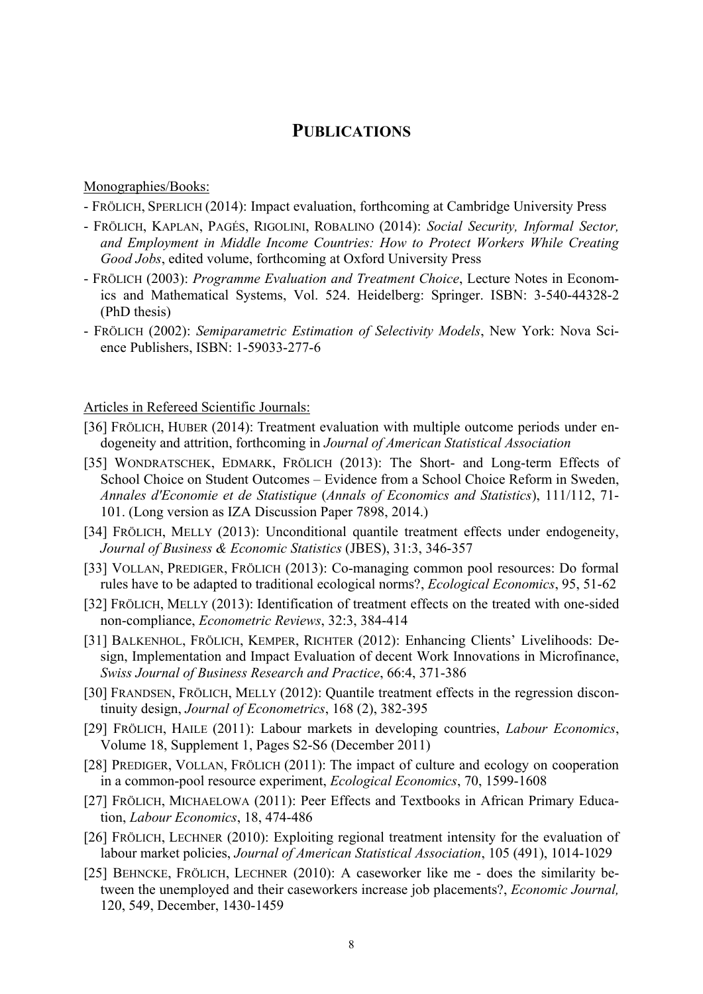### **PUBLICATIONS**

#### Monographies/Books:

- FRÖLICH, SPERLICH (2014): Impact evaluation, forthcoming at Cambridge University Press
- FRÖLICH, KAPLAN, PAGÉS, RIGOLINI, ROBALINO (2014): *Social Security, Informal Sector, and Employment in Middle Income Countries: How to Protect Workers While Creating Good Jobs*, edited volume, forthcoming at Oxford University Press
- FRÖLICH (2003): *Programme Evaluation and Treatment Choice*, Lecture Notes in Economics and Mathematical Systems, Vol. 524. Heidelberg: Springer. ISBN: 3-540-44328-2 (PhD thesis)
- FRÖLICH (2002): *Semiparametric Estimation of Selectivity Models*, New York: Nova Science Publishers, ISBN: 1-59033-277-6

Articles in Refereed Scientific Journals:

- [36] FRÖLICH, HUBER (2014): Treatment evaluation with multiple outcome periods under endogeneity and attrition, forthcoming in *Journal of American Statistical Association*
- [35] WONDRATSCHEK, EDMARK, FRÖLICH (2013): The Short- and Long-term Effects of School Choice on Student Outcomes – Evidence from a School Choice Reform in Sweden, *Annales d'Economie et de Statistique* (*Annals of Economics and Statistics*), 111/112, 71- 101. (Long version as IZA Discussion Paper 7898, 2014.)
- [34] FRÖLICH, MELLY (2013): Unconditional quantile treatment effects under endogeneity, *Journal of Business & Economic Statistics* (JBES), 31:3, 346-357
- [33] VOLLAN, PREDIGER, FRÖLICH (2013): Co-managing common pool resources: Do formal rules have to be adapted to traditional ecological norms?, *Ecological Economics*, 95, 51-62
- [32] FRÖLICH, MELLY (2013): Identification of treatment effects on the treated with one-sided non-compliance, *Econometric Reviews*, 32:3, 384-414
- [31] BALKENHOL, FRÖLICH, KEMPER, RICHTER (2012): Enhancing Clients' Livelihoods: Design, Implementation and Impact Evaluation of decent Work Innovations in Microfinance, *Swiss Journal of Business Research and Practice*, 66:4, 371-386
- [30] FRANDSEN, FRÖLICH, MELLY (2012): Quantile treatment effects in the regression discontinuity design, *Journal of Econometrics*, 168 (2), 382-395
- [29] FRÖLICH, HAILE (2011): Labour markets in developing countries, *Labour Economics*, Volume 18, Supplement 1, Pages S2-S6 (December 2011)
- [28] PREDIGER, VOLLAN, FRÖLICH (2011): The impact of culture and ecology on cooperation in a common-pool resource experiment, *Ecological Economics*, 70, 1599-1608
- [27] FRÖLICH, MICHAELOWA (2011): Peer Effects and Textbooks in African Primary Education, *Labour Economics*, 18, 474-486
- [26] FRÖLICH, LECHNER (2010): Exploiting regional treatment intensity for the evaluation of labour market policies, *Journal of American Statistical Association*, 105 (491), 1014-1029
- [25] BEHNCKE, FRÖLICH, LECHNER (2010): A caseworker like me does the similarity between the unemployed and their caseworkers increase job placements?, *Economic Journal,* 120, 549, December, 1430-1459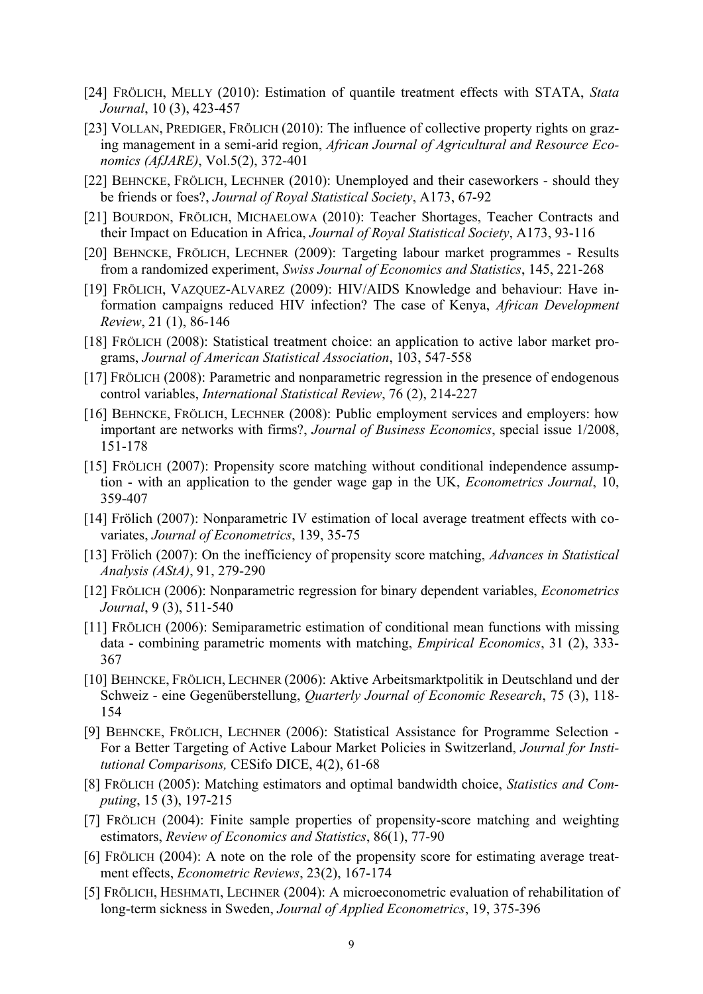- [24] FRÖLICH, MELLY (2010): Estimation of quantile treatment effects with STATA, *Stata Journal*, 10 (3), 423-457
- [23] VOLLAN, PREDIGER, FRÖLICH (2010): The influence of collective property rights on grazing management in a semi-arid region, *African Journal of Agricultural and Resource Economics (AfJARE)*, Vol.5(2), 372-401
- [22] BEHNCKE, FRÖLICH, LECHNER (2010): Unemployed and their caseworkers should they be friends or foes?, *Journal of Royal Statistical Society*, A173, 67-92
- [21] BOURDON, FRÖLICH, MICHAELOWA (2010): Teacher Shortages, Teacher Contracts and their Impact on Education in Africa, *Journal of Royal Statistical Society*, A173, 93-116
- [20] BEHNCKE, FRÖLICH, LECHNER (2009): Targeting labour market programmes Results from a randomized experiment, *Swiss Journal of Economics and Statistics*, 145, 221-268
- [19] FRÖLICH, VAZQUEZ-ALVAREZ (2009): HIV/AIDS Knowledge and behaviour: Have information campaigns reduced HIV infection? The case of Kenya, *African Development Review*, 21 (1), 86-146
- [18] FRÖLICH (2008): Statistical treatment choice: an application to active labor market programs, *Journal of American Statistical Association*, 103, 547-558
- [17] FRÖLICH (2008): Parametric and nonparametric regression in the presence of endogenous control variables, *International Statistical Review*, 76 (2), 214-227
- [16] BEHNCKE, FRÖLICH, LECHNER (2008): Public employment services and employers: how important are networks with firms?, *Journal of Business Economics*, special issue 1/2008, 151-178
- [15] FRÖLICH (2007): Propensity score matching without conditional independence assumption - with an application to the gender wage gap in the UK, *Econometrics Journal*, 10, 359-407
- [14] Frölich (2007): Nonparametric IV estimation of local average treatment effects with covariates, *Journal of Econometrics*, 139, 35-75
- [13] Frölich (2007): On the inefficiency of propensity score matching, *Advances in Statistical Analysis (AStA)*, 91, 279-290
- [12] FRÖLICH (2006): Nonparametric regression for binary dependent variables, *Econometrics Journal*, 9 (3), 511-540
- [11] FRÖLICH (2006): Semiparametric estimation of conditional mean functions with missing data - combining parametric moments with matching, *Empirical Economics*, 31 (2), 333- 367
- [10] BEHNCKE, FRÖLICH, LECHNER (2006): Aktive Arbeitsmarktpolitik in Deutschland und der Schweiz - eine Gegenüberstellung, *Quarterly Journal of Economic Research*, 75 (3), 118- 154
- [9] BEHNCKE, FRÖLICH, LECHNER (2006): Statistical Assistance for Programme Selection For a Better Targeting of Active Labour Market Policies in Switzerland, *Journal for Institutional Comparisons,* CESifo DICE, 4(2), 61-68
- [8] FRÖLICH (2005): Matching estimators and optimal bandwidth choice, *Statistics and Computing*, 15 (3), 197-215
- [7] FRÖLICH (2004): Finite sample properties of propensity-score matching and weighting estimators, *Review of Economics and Statistics*, 86(1), 77-90
- [6] FRÖLICH (2004): A note on the role of the propensity score for estimating average treatment effects, *Econometric Reviews*, 23(2), 167-174
- [5] FRÖLICH, HESHMATI, LECHNER (2004): A microeconometric evaluation of rehabilitation of long-term sickness in Sweden, *Journal of Applied Econometrics*, 19, 375-396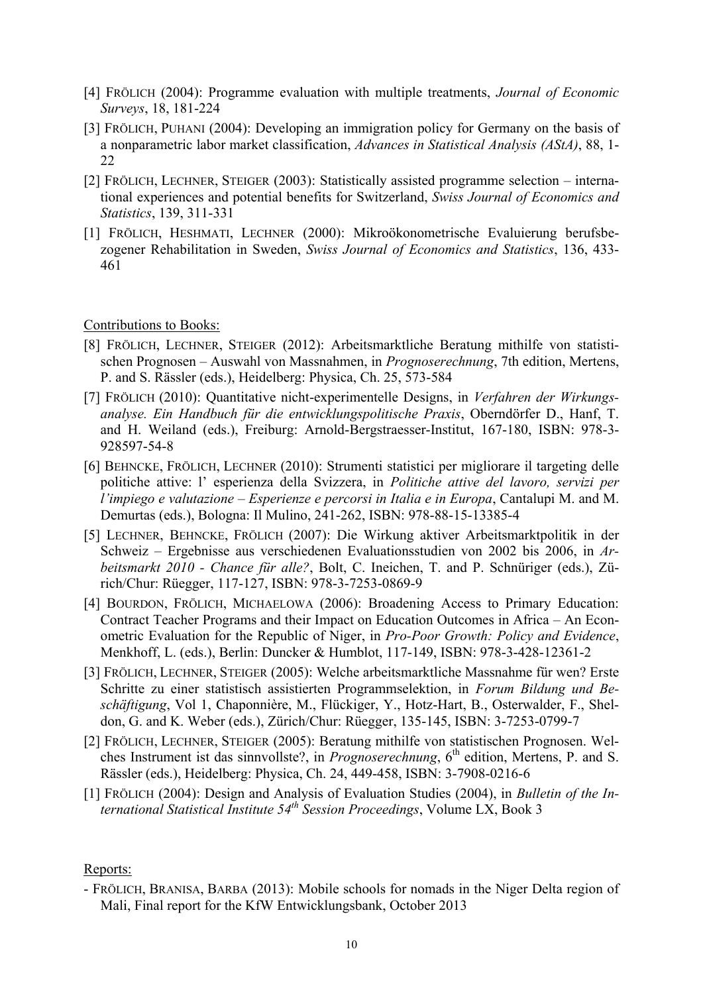- [4] FRÖLICH (2004): Programme evaluation with multiple treatments, *Journal of Economic Surveys*, 18, 181-224
- [3] FRÖLICH, PUHANI (2004): Developing an immigration policy for Germany on the basis of a nonparametric labor market classification, *Advances in Statistical Analysis (AStA)*, 88, 1- 22
- [2] FRÖLICH, LECHNER, STEIGER (2003): Statistically assisted programme selection international experiences and potential benefits for Switzerland, *Swiss Journal of Economics and Statistics*, 139, 311-331
- [1] FRÖLICH, HESHMATI, LECHNER (2000): Mikroökonometrische Evaluierung berufsbezogener Rehabilitation in Sweden, *Swiss Journal of Economics and Statistics*, 136, 433- 461

Contributions to Books:

- [8] FRÖLICH, LECHNER, STEIGER (2012): Arbeitsmarktliche Beratung mithilfe von statistischen Prognosen – Auswahl von Massnahmen, in *Prognoserechnung*, 7th edition, Mertens, P. and S. Rässler (eds.), Heidelberg: Physica, Ch. 25, 573-584
- [7] FRÖLICH (2010): [Quantitative nicht-experimentelle Designs,](http://www.degeval.de/calimero/tools/proxy.php?id=20369) in *Verfahren der Wirkungsanalyse. Ein Handbuch für die entwicklungspolitische Praxis*, Oberndörfer D., Hanf, T. and H. Weiland (eds.), Freiburg: Arnold-Bergstraesser-Institut, 167-180, ISBN: 978-3- 928597-54-8
- [6] BEHNCKE, FRÖLICH, LECHNER (2010): Strumenti statistici per migliorare il targeting delle politiche attive: l' esperienza della Svizzera, in *Politiche attive del lavoro, servizi per l'impiego e valutazione – Esperienze e percorsi in Italia e in Europa*, Cantalupi M. and M. Demurtas (eds.), Bologna: Il Mulino, 241-262, ISBN: 978-88-15-13385-4
- [5] LECHNER, BEHNCKE, FRÖLICH (2007): Die Wirkung aktiver Arbeitsmarktpolitik in der Schweiz – Ergebnisse aus verschiedenen Evaluationsstudien von 2002 bis 2006, in *Arbeitsmarkt 2010 - Chance für alle?*, Bolt, C. Ineichen, T. and P. Schnüriger (eds.), Zürich/Chur: Rüegger, 117-127, ISBN: 978-3-7253-0869-9
- [4] BOURDON, FRÖLICH, MICHAELOWA (2006): Broadening Access to Primary Education: Contract Teacher Programs and their Impact on Education Outcomes in Africa – An Econometric Evaluation for the Republic of Niger, in *Pro-Poor Growth: Policy and Evidence*, Menkhoff, L. (eds.), Berlin: Duncker & Humblot, 117-149, ISBN: 978-3-428-12361-2
- [3] FRÖLICH, LECHNER, STEIGER (2005): Welche arbeitsmarktliche Massnahme für wen? Erste Schritte zu einer statistisch assistierten Programmselektion, in *Forum Bildung und Beschäftigung*, Vol 1, Chaponnière, M., Flückiger, Y., Hotz-Hart, B., Osterwalder, F., Sheldon, G. and K. Weber (eds.), Zürich/Chur: Rüegger, 135-145, ISBN: 3-7253-0799-7
- [2] FRÖLICH, LECHNER, STEIGER (2005): Beratung mithilfe von statistischen Prognosen. Welches Instrument ist das sinnvollste?, in *Prognoserechnung*, 6<sup>th</sup> edition, Mertens, P. and S. Rässler (eds.), Heidelberg: Physica, Ch. 24, 449-458, ISBN: 3-7908-0216-6
- [1] FRÖLICH (2004): Design and Analysis of Evaluation Studies (2004), in *Bulletin of the International Statistical Institute 54th Session Proceedings*, Volume LX, Book 3

#### Reports:

- FRÖLICH, BRANISA, BARBA (2013): Mobile schools for nomads in the Niger Delta region of Mali, Final report for the KfW Entwicklungsbank, October 2013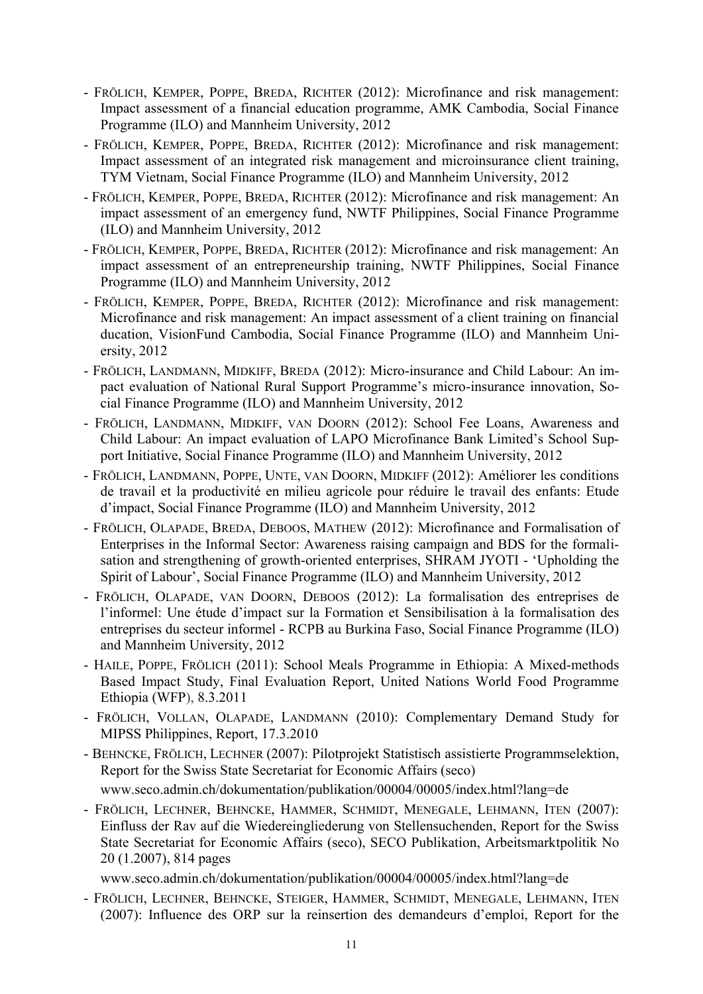- FRÖLICH, KEMPER, POPPE, BREDA, RICHTER (2012): Microfinance and risk management: Impact assessment of a financial education programme, AMK Cambodia, Social Finance Programme (ILO) and Mannheim University, 2012
- FRÖLICH, KEMPER, POPPE, BREDA, RICHTER (2012): Microfinance and risk management: Impact assessment of an integrated risk management and microinsurance client training, TYM Vietnam, Social Finance Programme (ILO) and Mannheim University, 2012
- FRÖLICH, KEMPER, POPPE, BREDA, RICHTER (2012): Microfinance and risk management: An impact assessment of an emergency fund, NWTF Philippines, Social Finance Programme (ILO) and Mannheim University, 2012
- FRÖLICH, KEMPER, POPPE, BREDA, RICHTER (2012): Microfinance and risk management: An impact assessment of an entrepreneurship training, NWTF Philippines, Social Finance Programme (ILO) and Mannheim University, 2012
- FRÖLICH, KEMPER, POPPE, BREDA, RICHTER (2012): Microfinance and risk management: Microfinance and risk management: An impact assessment of a client training on financial ducation, VisionFund Cambodia, Social Finance Programme (ILO) and Mannheim Uniersity, 2012
- FRÖLICH, LANDMANN, MIDKIFF, BREDA (2012): Micro-insurance and Child Labour: An impact evaluation of National Rural Support Programme's micro-insurance innovation, Social Finance Programme (ILO) and Mannheim University, 2012
- FRÖLICH, LANDMANN, MIDKIFF, VAN DOORN (2012): School Fee Loans, Awareness and Child Labour: An impact evaluation of LAPO Microfinance Bank Limited's School Support Initiative, Social Finance Programme (ILO) and Mannheim University, 2012
- FRÖLICH, LANDMANN, POPPE, UNTE, VAN DOORN, MIDKIFF (2012): Améliorer les conditions de travail et la productivité en milieu agricole pour réduire le travail des enfants: Etude d'impact, Social Finance Programme (ILO) and Mannheim University, 2012
- FRÖLICH, OLAPADE, BREDA, DEBOOS, MATHEW (2012): Microfinance and Formalisation of Enterprises in the Informal Sector: Awareness raising campaign and BDS for the formalisation and strengthening of growth-oriented enterprises, SHRAM JYOTI - 'Upholding the Spirit of Labour', Social Finance Programme (ILO) and Mannheim University, 2012
- FRÖLICH, OLAPADE, VAN DOORN, DEBOOS (2012): La formalisation des entreprises de l'informel: Une étude d'impact sur la Formation et Sensibilisation à la formalisation des entreprises du secteur informel - RCPB au Burkina Faso, Social Finance Programme (ILO) and Mannheim University, 2012
- HAILE, POPPE, FRÖLICH (2011): School Meals Programme in Ethiopia: A Mixed-methods Based Impact Study, Final Evaluation Report, United Nations World Food Programme Ethiopia (WFP), 8.3.2011
- FRÖLICH, VOLLAN, OLAPADE, LANDMANN (2010): Complementary Demand Study for MIPSS Philippines, Report, 17.3.2010
- BEHNCKE, FRÖLICH, LECHNER (2007): Pilotprojekt Statistisch assistierte Programmselektion, Report for the Swiss State Secretariat for Economic Affairs (seco)

www.seco.admin.ch/dokumentation/publikation/00004/00005/index.html?lang=de

- FRÖLICH, LECHNER, BEHNCKE, HAMMER, SCHMIDT, MENEGALE, LEHMANN, ITEN (2007): Einfluss der Rav auf die Wiedereingliederung von Stellensuchenden, Report for the Swiss State Secretariat for Economic Affairs (seco), SECO Publikation, Arbeitsmarktpolitik No 20 (1.2007), 814 pages

www.seco.admin.ch/dokumentation/publikation/00004/00005/index.html?lang=de

- FRÖLICH, LECHNER, BEHNCKE, STEIGER, HAMMER, SCHMIDT, MENEGALE, LEHMANN, ITEN (2007): Influence des ORP sur la reinsertion des demandeurs d'emploi, Report for the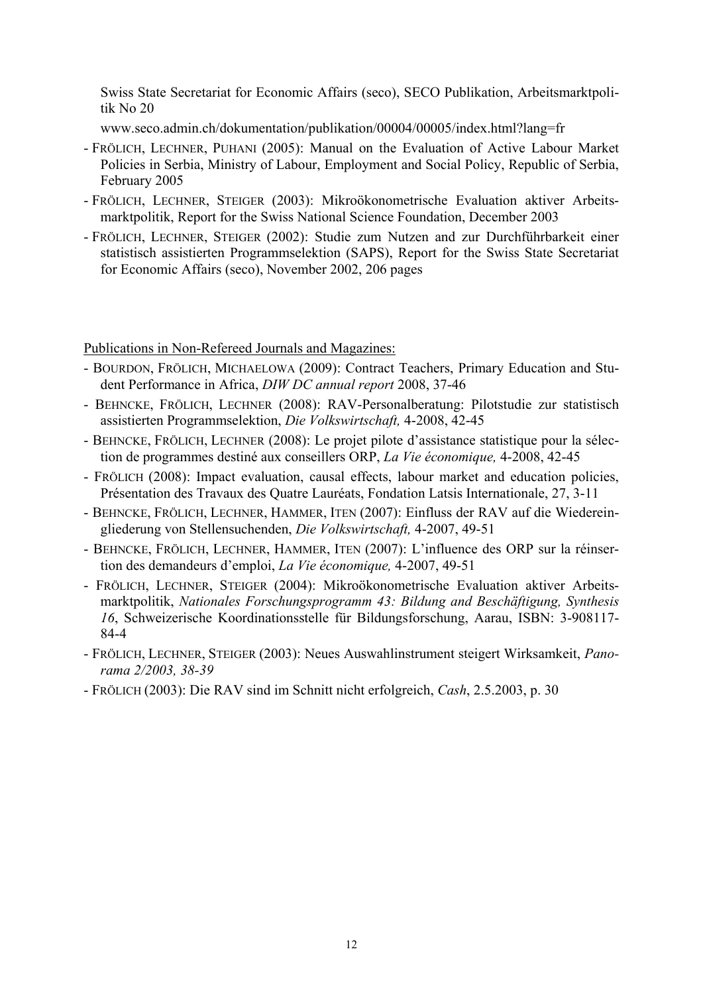Swiss State Secretariat for Economic Affairs (seco), SECO Publikation, Arbeitsmarktpolitik No 20

www.seco.admin.ch/dokumentation/publikation/00004/00005/index.html?lang=fr

- FRÖLICH, LECHNER, PUHANI (2005): Manual on the Evaluation of Active Labour Market Policies in Serbia, Ministry of Labour, Employment and Social Policy, Republic of Serbia, February 2005
- FRÖLICH, LECHNER, STEIGER (2003): Mikroökonometrische Evaluation aktiver Arbeitsmarktpolitik, Report for the Swiss National Science Foundation, December 2003
- FRÖLICH, LECHNER, STEIGER (2002): Studie zum Nutzen and zur Durchführbarkeit einer statistisch assistierten Programmselektion (SAPS), Report for the Swiss State Secretariat for Economic Affairs (seco), November 2002, 206 pages

Publications in Non-Refereed Journals and Magazines:

- BOURDON, FRÖLICH, MICHAELOWA (2009): Contract Teachers, Primary Education and Student Performance in Africa, *DIW DC annual report* 2008, 37-46
- BEHNCKE, FRÖLICH, LECHNER (2008): RAV-Personalberatung: Pilotstudie zur statistisch assistierten Programmselektion, *Die Volkswirtschaft,* 4-2008, 42-45
- BEHNCKE, FRÖLICH, LECHNER (2008): Le projet pilote d'assistance statistique pour la sélection de programmes destiné aux conseillers ORP, *La Vie économique,* 4-2008, 42-45
- FRÖLICH (2008): Impact evaluation, causal effects, labour market and education policies, Présentation des Travaux des Quatre Lauréats, Fondation Latsis Internationale, 27, 3-11
- BEHNCKE, FRÖLICH, LECHNER, HAMMER, ITEN (2007): Einfluss der RAV auf die Wiedereingliederung von Stellensuchenden, *Die Volkswirtschaft,* 4-2007, 49-51
- BEHNCKE, FRÖLICH, LECHNER, HAMMER, ITEN (2007): L'influence des ORP sur la réinsertion des demandeurs d'emploi, *La Vie économique,* 4-2007, 49-51
- FRÖLICH, LECHNER, STEIGER (2004): Mikroökonometrische Evaluation aktiver Arbeitsmarktpolitik, *Nationales Forschungsprogramm 43: Bildung and Beschäftigung, Synthesis 16*, Schweizerische Koordinationsstelle für Bildungsforschung, Aarau, ISBN: 3-908117- 84-4
- FRÖLICH, LECHNER, STEIGER (2003): Neues Auswahlinstrument steigert Wirksamkeit, *Panorama 2/2003, 38-39*
- FRÖLICH (2003): Die RAV sind im Schnitt nicht erfolgreich, *Cash*, 2.5.2003, p. 30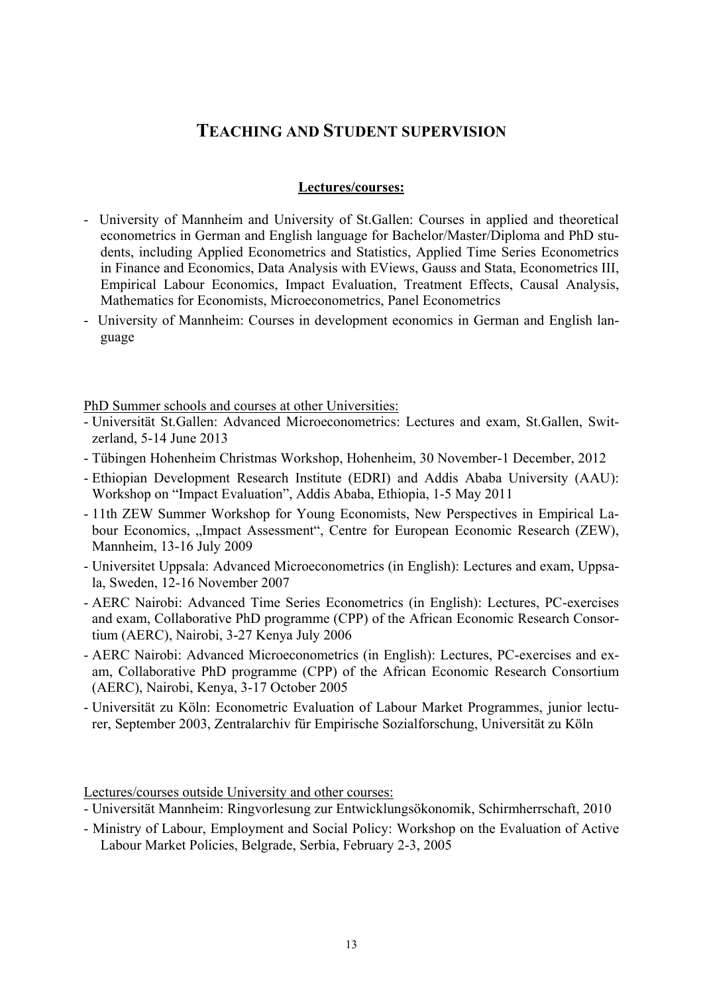## **TEACHING AND STUDENT SUPERVISION**

#### **Lectures/courses:**

- University of Mannheim and University of St.Gallen: Courses in applied and theoretical econometrics in German and English language for Bachelor/Master/Diploma and PhD students, including Applied Econometrics and Statistics, Applied Time Series Econometrics in Finance and Economics, Data Analysis with EViews, Gauss and Stata, Econometrics III, Empirical Labour Economics, Impact Evaluation, Treatment Effects, Causal Analysis, Mathematics for Economists, Microeconometrics, Panel Econometrics
- University of Mannheim: Courses in development economics in German and English language

PhD Summer schools and courses at other Universities:

- Universität St.Gallen: Advanced Microeconometrics: Lectures and exam, St.Gallen, Switzerland, 5-14 June 2013
- Tübingen Hohenheim Christmas Workshop, Hohenheim, 30 November-1 December, 2012
- Ethiopian Development Research Institute (EDRI) and Addis Ababa University (AAU): Workshop on "Impact Evaluation", Addis Ababa, Ethiopia, 1-5 May 2011
- 11th ZEW Summer Workshop for Young Economists, New Perspectives in Empirical Labour Economics, "Impact Assessment", Centre for European Economic Research (ZEW), Mannheim, 13-16 July 2009
- Universitet Uppsala: Advanced Microeconometrics (in English): Lectures and exam, Uppsala, Sweden, 12-16 November 2007
- AERC Nairobi: Advanced Time Series Econometrics (in English): Lectures, PC-exercises and exam, Collaborative PhD programme (CPP) of the African Economic Research Consortium (AERC), Nairobi, 3-27 Kenya July 2006
- AERC Nairobi: Advanced Microeconometrics (in English): Lectures, PC-exercises and exam, Collaborative PhD programme (CPP) of the African Economic Research Consortium (AERC), Nairobi, Kenya, 3-17 October 2005
- Universität zu Köln: Econometric Evaluation of Labour Market Programmes, junior lecturer, September 2003, Zentralarchiv für Empirische Sozialforschung, Universität zu Köln

Lectures/courses outside University and other courses:

- Ministry of Labour, Employment and Social Policy: Workshop on the Evaluation of Active Labour Market Policies, Belgrade, Serbia, February 2-3, 2005

<sup>-</sup> Universität Mannheim: Ringvorlesung zur Entwicklungsökonomik, Schirmherrschaft, 2010